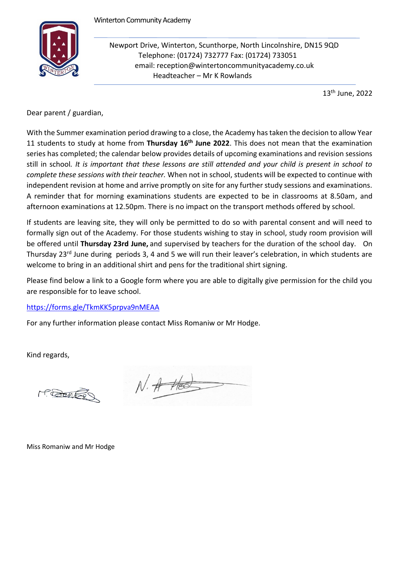

Newport Drive, Winterton, Scunthorpe, North Lincolnshire, DN15 9QD Telephone: (01724) 732777 Fax: (01724) 733051 email: reception@wintertoncommunityacademy.co.uk Headteacher – Mr K Rowlands

13th June, 2022

Dear parent / guardian,

With the Summer examination period drawing to a close, the Academy has taken the decision to allow Year 11 students to study at home from Thursday 16<sup>th</sup> June 2022. This does not mean that the examination series has completed; the calendar below provides details of upcoming examinations and revision sessions still in school*. It is important that these lessons are still attended and your child is present in school to complete these sessions with their teacher.* When not in school, students will be expected to continue with independent revision at home and arrive promptly on site for any further study sessions and examinations. A reminder that for morning examinations students are expected to be in classrooms at 8.50am, and afternoon examinations at 12.50pm. There is no impact on the transport methods offered by school.

If students are leaving site, they will only be permitted to do so with parental consent and will need to formally sign out of the Academy. For those students wishing to stay in school, study room provision will be offered until **Thursday 23rd June,** and supervised by teachers for the duration of the school day. On Thursday 23<sup>rd</sup> June during periods 3, 4 and 5 we will run their leaver's celebration, in which students are welcome to bring in an additional shirt and pens for the traditional shirt signing.

Please find below a link to a Google form where you are able to digitally give permission for the child you are responsible for to leave school.

## <https://forms.gle/TkmKK5prpva9nMEAA>

For any further information please contact Miss Romaniw or Mr Hodge.

Kind regards,

M. BONES

 $N.$  A Hed

Miss Romaniw and Mr Hodge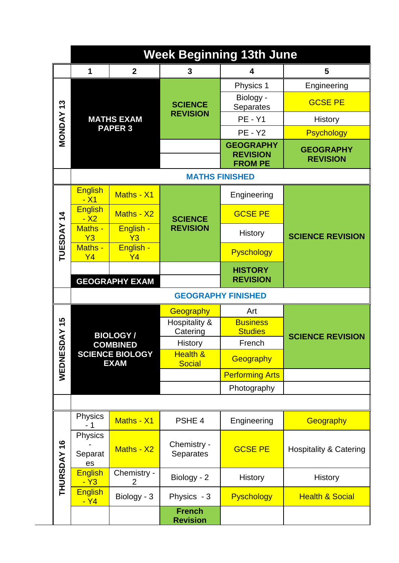|                          | <b>Week Beginning 13th June</b>                          |                             |                                      |                                                       |                                     |  |  |
|--------------------------|----------------------------------------------------------|-----------------------------|--------------------------------------|-------------------------------------------------------|-------------------------------------|--|--|
|                          | 1                                                        | $\mathbf{2}$                | 3                                    | 4                                                     | 5                                   |  |  |
| $\frac{3}{2}$            |                                                          |                             |                                      | Physics 1                                             | Engineering                         |  |  |
|                          | <b>MATHS EXAM</b><br><b>PAPER 3</b>                      |                             | <b>SCIENCE</b><br><b>REVISION</b>    | Biology -<br>Separates                                | <b>GCSE PE</b>                      |  |  |
|                          |                                                          |                             |                                      | <b>PE - Y1</b>                                        | <b>History</b>                      |  |  |
| <b>MONDAY</b>            |                                                          |                             |                                      | <b>PE - Y2</b>                                        | <b>Psychology</b>                   |  |  |
|                          |                                                          |                             |                                      | <b>GEOGRAPHY</b><br><b>REVISION</b><br><b>FROM PE</b> | <b>GEOGRAPHY</b><br><b>REVISION</b> |  |  |
|                          | <b>MATHS FINISHED</b>                                    |                             |                                      |                                                       |                                     |  |  |
| $\frac{4}{4}$<br>TUESDAY | <b>English</b><br><u>- X1</u>                            | Maths - X1                  |                                      | Engineering                                           | <b>SCIENCE REVISION</b>             |  |  |
|                          | <b>English</b><br>$- X2$                                 | Maths - X2                  | <b>SCIENCE</b>                       | <b>GCSE PE</b>                                        |                                     |  |  |
|                          | Maths -<br>Y3                                            | English -<br>Y3             | <b>REVISION</b>                      | <b>History</b>                                        |                                     |  |  |
|                          | Maths -<br>Y <sub>4</sub>                                | English -<br>Y <sub>4</sub> |                                      | Pyschology                                            |                                     |  |  |
|                          |                                                          | <b>GEOGRAPHY EXAM</b>       |                                      | <b>HISTORY</b><br><b>REVISION</b>                     |                                     |  |  |
|                          | <b>GEOGRAPHY FINISHED</b>                                |                             |                                      |                                                       |                                     |  |  |
|                          |                                                          |                             | Geography                            | Art                                                   | <b>SCIENCE REVISION</b>             |  |  |
| 15                       |                                                          |                             | Hospitality &<br>Catering            | <b>Business</b><br><b>Studies</b>                     |                                     |  |  |
| <b>DAY</b>               |                                                          | <b>BIOLOGY/</b>             | History                              | French                                                |                                     |  |  |
| WEDNES                   | <b>COMBINED</b><br><b>SCIENCE BIOLOGY</b><br><b>EXAM</b> |                             | <b>Health &amp;</b><br><b>Social</b> | Geography                                             |                                     |  |  |
|                          |                                                          |                             |                                      | <b>Performing Arts</b>                                |                                     |  |  |
|                          |                                                          |                             |                                      | Photography                                           |                                     |  |  |
|                          |                                                          |                             |                                      |                                                       |                                     |  |  |
|                          | Physics<br>- 1                                           | Maths - X1                  | PSHE 4                               | Engineering                                           | Geography                           |  |  |
| <b>THURSDAY 16</b>       | <b>Physics</b>                                           |                             | Chemistry -                          | <b>GCSE PE</b>                                        | <b>Hospitality &amp; Catering</b>   |  |  |
|                          | Separat<br>es                                            | Maths - X2                  | <b>Separates</b>                     |                                                       |                                     |  |  |
|                          | <b>English</b><br><u>- Y3</u>                            | Chemistry -<br>2            | Biology - 2                          | <b>History</b>                                        | <b>History</b>                      |  |  |
|                          | <b>English</b><br>$-Y4$                                  | Biology - 3                 | Physics - 3                          | Pyschology                                            | <b>Health &amp; Social</b>          |  |  |
|                          |                                                          |                             | <b>French</b><br><b>Revision</b>     |                                                       |                                     |  |  |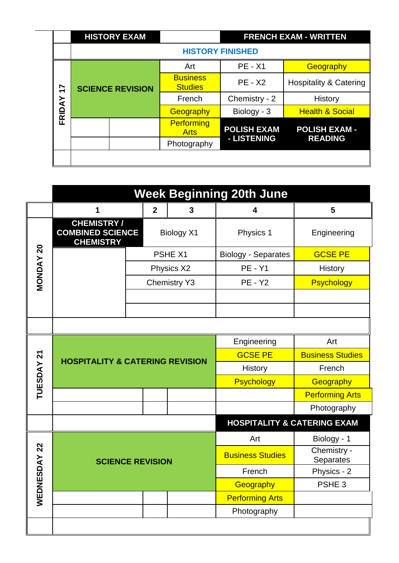|                                      |                         | <b>HISTORY EXAM</b> |                                   | <b>FRENCH EXAM - WRITTEN</b> |                                        |  |  |
|--------------------------------------|-------------------------|---------------------|-----------------------------------|------------------------------|----------------------------------------|--|--|
|                                      | <b>HISTORY FINISHED</b> |                     |                                   |                              |                                        |  |  |
| $\overline{1}$<br>∢<br><u>Q</u><br>ட | <b>SCIENCE REVISION</b> |                     | Art                               | $PE - X1$                    | Geography                              |  |  |
|                                      |                         |                     | <b>Business</b><br><b>Studies</b> | <b>PE - X2</b>               | <b>Hospitality &amp; Catering</b>      |  |  |
|                                      |                         |                     | French                            | Chemistry - 2                | History                                |  |  |
|                                      |                         |                     | Geography                         | Biology - 3                  | <b>Health &amp; Social</b>             |  |  |
|                                      |                         |                     | Performing<br><b>Arts</b>         | <b>POLISH EXAM</b>           | <b>POLISH EXAM -</b><br><b>READING</b> |  |  |
|                                      |                         |                     | Photography                       | - LISTENING                  |                                        |  |  |
|                                      |                         |                     |                                   |                              |                                        |  |  |

|                  | <b>Week Beginning 20th June</b>                                  |                     |   |                                        |                          |  |  |
|------------------|------------------------------------------------------------------|---------------------|---|----------------------------------------|--------------------------|--|--|
|                  | 1                                                                | $\boldsymbol{2}$    | 3 | 4                                      | 5                        |  |  |
|                  | <b>CHEMISTRY/</b><br><b>COMBINED SCIENCE</b><br><b>CHEMISTRY</b> | <b>Biology X1</b>   |   | Physics 1                              | Engineering              |  |  |
|                  |                                                                  | PSHE X1             |   | <b>Biology - Separates</b>             | <b>GCSE PE</b>           |  |  |
| <b>MONDAY 20</b> |                                                                  | Physics X2          |   | <b>PE - Y1</b>                         | History                  |  |  |
|                  |                                                                  | <b>Chemistry Y3</b> |   | <b>PE - Y2</b>                         | <b>Psychology</b>        |  |  |
|                  |                                                                  |                     |   |                                        |                          |  |  |
|                  |                                                                  |                     |   |                                        |                          |  |  |
|                  |                                                                  |                     |   |                                        |                          |  |  |
|                  | <b>HOSPITALITY &amp; CATERING REVISION</b>                       |                     |   | Engineering                            | Art                      |  |  |
|                  |                                                                  |                     |   | <b>GCSE PE</b>                         | <b>Business Studies</b>  |  |  |
| TUESDAY 21       |                                                                  |                     |   | <b>History</b>                         | French                   |  |  |
|                  |                                                                  |                     |   | <b>Psychology</b>                      | Geography                |  |  |
|                  |                                                                  |                     |   |                                        | <b>Performing Arts</b>   |  |  |
|                  |                                                                  |                     |   |                                        | Photography              |  |  |
|                  |                                                                  |                     |   | <b>HOSPITALITY &amp; CATERING EXAM</b> |                          |  |  |
|                  | <b>SCIENCE REVISION</b>                                          |                     |   | Art                                    | Biology - 1              |  |  |
| ESDAY 22         |                                                                  |                     |   | <b>Business Studies</b>                | Chemistry -<br>Separates |  |  |
|                  |                                                                  |                     |   | French                                 | Physics - 2              |  |  |
|                  |                                                                  |                     |   |                                        | PSHE <sub>3</sub>        |  |  |
| WEDN             |                                                                  |                     |   | <b>Performing Arts</b>                 |                          |  |  |
|                  |                                                                  |                     |   | Photography                            |                          |  |  |
|                  |                                                                  |                     |   |                                        |                          |  |  |